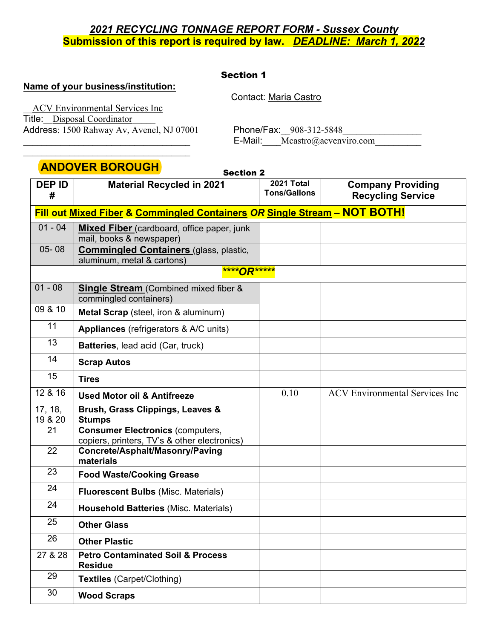## Section 1

Section 2

## **Name of your business/institution:**

Contact: Maria Castro

\_\_ACV Environmental Services Inc Title: Disposal Coordinator Address: 1500 Rahway Av, Avenel, NJ 07001 Phone/Fax: 908-312-5848

 $\mathcal{L}_\text{max}$ 

E-Mail: Mcastro@acvenviro.com

# **ANDOVER BOROUGH**

| <b>DEP ID</b><br># | <b>Material Recycled in 2021</b>                                                        | 2021 Total<br><b>Tons/Gallons</b> | <b>Company Providing</b><br><b>Recycling Service</b> |  |
|--------------------|-----------------------------------------------------------------------------------------|-----------------------------------|------------------------------------------------------|--|
|                    | Fill out Mixed Fiber & Commingled Containers OR Single Stream - NOT BOTH!               |                                   |                                                      |  |
| $01 - 04$          | <b>Mixed Fiber</b> (cardboard, office paper, junk<br>mail, books & newspaper)           |                                   |                                                      |  |
| $05 - 08$          | <b>Commingled Containers (glass, plastic,</b><br>aluminum, metal & cartons)             |                                   |                                                      |  |
|                    | ****OR*****                                                                             |                                   |                                                      |  |
| $01 - 08$          | <b>Single Stream</b> (Combined mixed fiber &<br>commingled containers)                  |                                   |                                                      |  |
| 09 & 10            | Metal Scrap (steel, iron & aluminum)                                                    |                                   |                                                      |  |
| 11                 | <b>Appliances</b> (refrigerators & A/C units)                                           |                                   |                                                      |  |
| 13                 | Batteries, lead acid (Car, truck)                                                       |                                   |                                                      |  |
| 14                 | <b>Scrap Autos</b>                                                                      |                                   |                                                      |  |
| 15                 | <b>Tires</b>                                                                            |                                   |                                                      |  |
| 12 & 16            | <b>Used Motor oil &amp; Antifreeze</b>                                                  | 0.10                              | <b>ACV</b> Environmental Services Inc                |  |
| 17, 18,<br>19 & 20 | Brush, Grass Clippings, Leaves &<br><b>Stumps</b>                                       |                                   |                                                      |  |
| 21                 | <b>Consumer Electronics (computers,</b><br>copiers, printers, TV's & other electronics) |                                   |                                                      |  |
| 22                 | Concrete/Asphalt/Masonry/Paving<br>materials                                            |                                   |                                                      |  |
| 23                 | <b>Food Waste/Cooking Grease</b>                                                        |                                   |                                                      |  |
| 24                 | <b>Fluorescent Bulbs (Misc. Materials)</b>                                              |                                   |                                                      |  |
| 24                 | <b>Household Batteries (Misc. Materials)</b>                                            |                                   |                                                      |  |
| 25                 | <b>Other Glass</b>                                                                      |                                   |                                                      |  |
| 26                 | <b>Other Plastic</b>                                                                    |                                   |                                                      |  |
| 27 & 28            | <b>Petro Contaminated Soil &amp; Process</b><br><b>Residue</b>                          |                                   |                                                      |  |
| 29                 | <b>Textiles (Carpet/Clothing)</b>                                                       |                                   |                                                      |  |
| 30                 | <b>Wood Scraps</b>                                                                      |                                   |                                                      |  |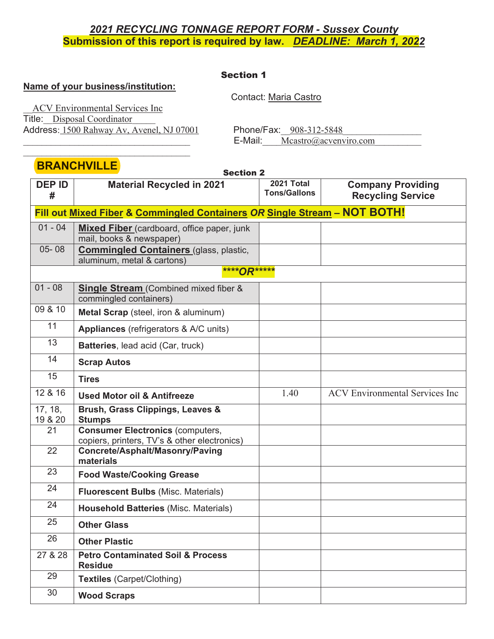## Section 1

## **Name of your business/institution:**

Contact: Maria Castro

\_\_ACV Environmental Services Inc Title: Disposal Coordinator Address: 1500 Rahway Av, Avenel, NJ 07001 Phone/Fax: 908-312-5848

 $\mathcal{L}_\text{max}$ 

 $E$ -Mail: Mcastro@acvenviro.com

# **BRANCHVILLE**

|                    | <u> VIIIVIII EEE</u><br><b>Section 2</b>                                                |                                   |                                                      |
|--------------------|-----------------------------------------------------------------------------------------|-----------------------------------|------------------------------------------------------|
| <b>DEP ID</b><br># | <b>Material Recycled in 2021</b>                                                        | 2021 Total<br><b>Tons/Gallons</b> | <b>Company Providing</b><br><b>Recycling Service</b> |
|                    | Fill out Mixed Fiber & Commingled Containers OR Single Stream - NOT BOTH!               |                                   |                                                      |
| $01 - 04$          | Mixed Fiber (cardboard, office paper, junk<br>mail, books & newspaper)                  |                                   |                                                      |
| $05 - 08$          | <b>Commingled Containers (glass, plastic,</b><br>aluminum, metal & cartons)             |                                   |                                                      |
|                    | ****OR*****                                                                             |                                   |                                                      |
| $01 - 08$          | <b>Single Stream</b> (Combined mixed fiber &<br>commingled containers)                  |                                   |                                                      |
| 09 & 10            | Metal Scrap (steel, iron & aluminum)                                                    |                                   |                                                      |
| 11                 | <b>Appliances</b> (refrigerators & A/C units)                                           |                                   |                                                      |
| 13                 | Batteries, lead acid (Car, truck)                                                       |                                   |                                                      |
| 14                 | <b>Scrap Autos</b>                                                                      |                                   |                                                      |
| 15                 | <b>Tires</b>                                                                            |                                   |                                                      |
| 12 & 16            | <b>Used Motor oil &amp; Antifreeze</b>                                                  | 1.40                              | <b>ACV</b> Environmental Services Inc                |
| 17, 18,<br>19 & 20 | Brush, Grass Clippings, Leaves &<br><b>Stumps</b>                                       |                                   |                                                      |
| 21                 | <b>Consumer Electronics (computers,</b><br>copiers, printers, TV's & other electronics) |                                   |                                                      |
| 22                 | Concrete/Asphalt/Masonry/Paving<br>materials                                            |                                   |                                                      |
| 23                 | <b>Food Waste/Cooking Grease</b>                                                        |                                   |                                                      |
| 24                 | <b>Fluorescent Bulbs (Misc. Materials)</b>                                              |                                   |                                                      |
| 24                 | <b>Household Batteries (Misc. Materials)</b>                                            |                                   |                                                      |
| 25                 | <b>Other Glass</b>                                                                      |                                   |                                                      |
| 26                 | <b>Other Plastic</b>                                                                    |                                   |                                                      |
| 27 & 28            | <b>Petro Contaminated Soil &amp; Process</b><br><b>Residue</b>                          |                                   |                                                      |
| 29                 | <b>Textiles (Carpet/Clothing)</b>                                                       |                                   |                                                      |
| 30                 | <b>Wood Scraps</b>                                                                      |                                   |                                                      |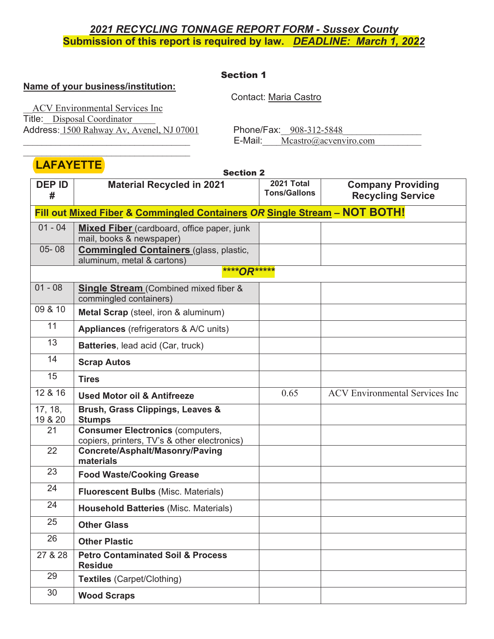### Section 1

## **Name of your business/institution:**

Contact: Maria Castro

\_\_ACV Environmental Services Inc Title: Disposal Coordinator Address: 1500 Rahway Av, Avenel, NJ 07001 Phone/Fax: 908-312-5848

 $\mathcal{L}_\text{max}$ 

 $E$ -Mail: Mcastro@acvenviro.com

# **LAFAYETTE**

|                    | <b>Section 2</b>                                                                        |                                   |                                                      |  |
|--------------------|-----------------------------------------------------------------------------------------|-----------------------------------|------------------------------------------------------|--|
| <b>DEP ID</b><br># | <b>Material Recycled in 2021</b>                                                        | 2021 Total<br><b>Tons/Gallons</b> | <b>Company Providing</b><br><b>Recycling Service</b> |  |
|                    | Fill out Mixed Fiber & Commingled Containers OR Single Stream - NOT BOTH!               |                                   |                                                      |  |
| $01 - 04$          | <b>Mixed Fiber</b> (cardboard, office paper, junk<br>mail, books & newspaper)           |                                   |                                                      |  |
| $05 - 08$          | <b>Commingled Containers (glass, plastic,</b><br>aluminum, metal & cartons)             |                                   |                                                      |  |
|                    | ****OR*****                                                                             |                                   |                                                      |  |
| $01 - 08$          | <b>Single Stream</b> (Combined mixed fiber &<br>commingled containers)                  |                                   |                                                      |  |
| 09 & 10            | Metal Scrap (steel, iron & aluminum)                                                    |                                   |                                                      |  |
| 11                 | <b>Appliances</b> (refrigerators & A/C units)                                           |                                   |                                                      |  |
| 13                 | Batteries, lead acid (Car, truck)                                                       |                                   |                                                      |  |
| 14                 | <b>Scrap Autos</b>                                                                      |                                   |                                                      |  |
| 15                 | <b>Tires</b>                                                                            |                                   |                                                      |  |
| 12 & 16            | <b>Used Motor oil &amp; Antifreeze</b>                                                  | 0.65                              | <b>ACV</b> Environmental Services Inc                |  |
| 17, 18,<br>19 & 20 | Brush, Grass Clippings, Leaves &<br><b>Stumps</b>                                       |                                   |                                                      |  |
| 21                 | <b>Consumer Electronics (computers,</b><br>copiers, printers, TV's & other electronics) |                                   |                                                      |  |
| 22                 | Concrete/Asphalt/Masonry/Paving<br>materials                                            |                                   |                                                      |  |
| 23                 | <b>Food Waste/Cooking Grease</b>                                                        |                                   |                                                      |  |
| 24                 | <b>Fluorescent Bulbs (Misc. Materials)</b>                                              |                                   |                                                      |  |
| 24                 | <b>Household Batteries (Misc. Materials)</b>                                            |                                   |                                                      |  |
| 25                 | <b>Other Glass</b>                                                                      |                                   |                                                      |  |
| 26                 | <b>Other Plastic</b>                                                                    |                                   |                                                      |  |
| 27 & 28            | <b>Petro Contaminated Soil &amp; Process</b><br><b>Residue</b>                          |                                   |                                                      |  |
| 29                 | Textiles (Carpet/Clothing)                                                              |                                   |                                                      |  |
| 30                 | <b>Wood Scraps</b>                                                                      |                                   |                                                      |  |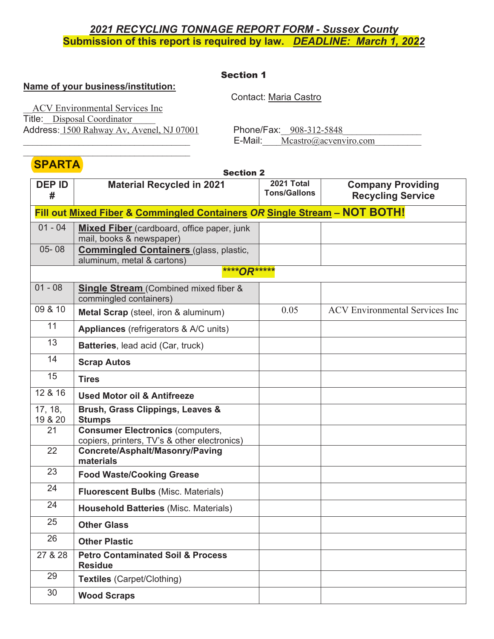## Section 1

## **Name of your business/institution:**

Contact: Maria Castro

\_\_ACV Environmental Services Inc Title: Disposal Coordinator Address: 1500 Rahway Av, Avenel, NJ 07001 Phone/Fax: 908-312-5848

 $\mathcal{L}_\text{max}$ 

E-Mail: Mcastro@acvenviro.com

# **SPARTA**

| <u>דו הורות וט</u> | <b>Section 2</b>                                                                        |                                   |                                                      |
|--------------------|-----------------------------------------------------------------------------------------|-----------------------------------|------------------------------------------------------|
| <b>DEP ID</b><br># | <b>Material Recycled in 2021</b>                                                        | 2021 Total<br><b>Tons/Gallons</b> | <b>Company Providing</b><br><b>Recycling Service</b> |
|                    | Fill out Mixed Fiber & Commingled Containers OR Single Stream - NOT BOTH!               |                                   |                                                      |
| $01 - 04$          | <b>Mixed Fiber</b> (cardboard, office paper, junk<br>mail, books & newspaper)           |                                   |                                                      |
| $05 - 08$          | <b>Commingled Containers (glass, plastic,</b><br>aluminum, metal & cartons)             |                                   |                                                      |
|                    | ****OR*****                                                                             |                                   |                                                      |
| $01 - 08$          | <b>Single Stream</b> (Combined mixed fiber &<br>commingled containers)                  |                                   |                                                      |
| 09 & 10            | Metal Scrap (steel, iron & aluminum)                                                    | 0.05                              | <b>ACV</b> Environmental Services Inc                |
| 11                 | Appliances (refrigerators & A/C units)                                                  |                                   |                                                      |
| 13                 | Batteries, lead acid (Car, truck)                                                       |                                   |                                                      |
| 14                 | <b>Scrap Autos</b>                                                                      |                                   |                                                      |
| 15                 | <b>Tires</b>                                                                            |                                   |                                                      |
| 12 & 16            | <b>Used Motor oil &amp; Antifreeze</b>                                                  |                                   |                                                      |
| 17, 18,<br>19 & 20 | Brush, Grass Clippings, Leaves &<br><b>Stumps</b>                                       |                                   |                                                      |
| 21                 | <b>Consumer Electronics (computers,</b><br>copiers, printers, TV's & other electronics) |                                   |                                                      |
| 22                 | Concrete/Asphalt/Masonry/Paving<br>materials                                            |                                   |                                                      |
| 23                 | <b>Food Waste/Cooking Grease</b>                                                        |                                   |                                                      |
| 24                 | <b>Fluorescent Bulbs (Misc. Materials)</b>                                              |                                   |                                                      |
| 24                 | <b>Household Batteries (Misc. Materials)</b>                                            |                                   |                                                      |
| 25                 | <b>Other Glass</b>                                                                      |                                   |                                                      |
| 26                 | <b>Other Plastic</b>                                                                    |                                   |                                                      |
| 27 & 28            | <b>Petro Contaminated Soil &amp; Process</b><br><b>Residue</b>                          |                                   |                                                      |
| 29                 | <b>Textiles (Carpet/Clothing)</b>                                                       |                                   |                                                      |
| 30                 | <b>Wood Scraps</b>                                                                      |                                   |                                                      |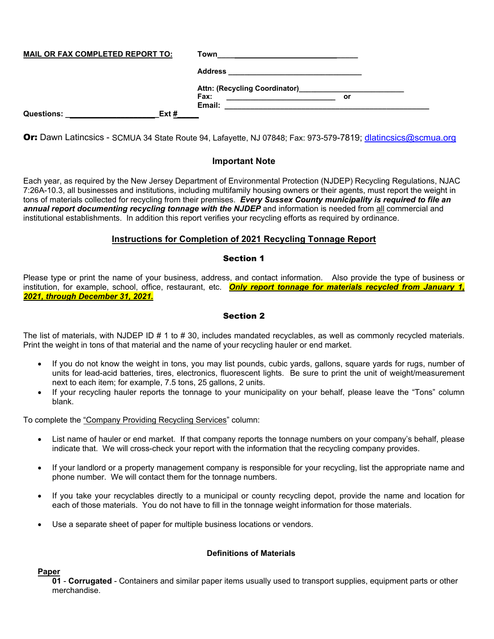| <b>MAIL OR FAX COMPLETED REPORT TO:</b> |      | Town              |
|-----------------------------------------|------|-------------------|
|                                         |      | <b>Address</b>    |
|                                         |      | <b>Fax:</b><br>or |
| <b>Questions:</b>                       | Ext# | Email:            |

Or: Dawn Latincsics - SCMUA 34 State Route 94, Lafayette, NJ 07848; Fax: 973-579-7819; dlatincsics@scmua.org

### **Important Note**

Each year, as required by the New Jersey Department of Environmental Protection (NJDEP) Recycling Regulations, NJAC 7:26A-10.3, all businesses and institutions, including multifamily housing owners or their agents, must report the weight in tons of materials collected for recycling from their premises. *Every Sussex County municipality is required to file an*  annual report documenting recycling tonnage with the NJDEP and information is needed from all commercial and institutional establishments. In addition this report verifies your recycling efforts as required by ordinance.

### **Instructions for Completion of 2021 Recycling Tonnage Report**

### Section 1

Please type or print the name of your business, address, and contact information. Also provide the type of business or institution, for example, school, office, restaurant, etc. *Only report tonnage for materials recycled from January 1, 2021, through December 31, 2021.* 

### Section 2

The list of materials, with NJDEP ID # 1 to # 30, includes mandated recyclables, as well as commonly recycled materials. Print the weight in tons of that material and the name of your recycling hauler or end market.

- If you do not know the weight in tons, you may list pounds, cubic yards, gallons, square yards for rugs, number of units for lead-acid batteries, tires, electronics, fluorescent lights. Be sure to print the unit of weight/measurement next to each item; for example, 7.5 tons, 25 gallons, 2 units.
- If your recycling hauler reports the tonnage to your municipality on your behalf, please leave the "Tons" column blank.

To complete the "Company Providing Recycling Services" column:

- List name of hauler or end market. If that company reports the tonnage numbers on your company's behalf, please indicate that. We will cross-check your report with the information that the recycling company provides.
- If your landlord or a property management company is responsible for your recycling, list the appropriate name and phone number. We will contact them for the tonnage numbers.
- If you take your recyclables directly to a municipal or county recycling depot, provide the name and location for each of those materials. You do not have to fill in the tonnage weight information for those materials.
- Use a separate sheet of paper for multiple business locations or vendors.

### **Definitions of Materials**

### **Paper**

**01** - **Corrugated** - Containers and similar paper items usually used to transport supplies, equipment parts or other merchandise.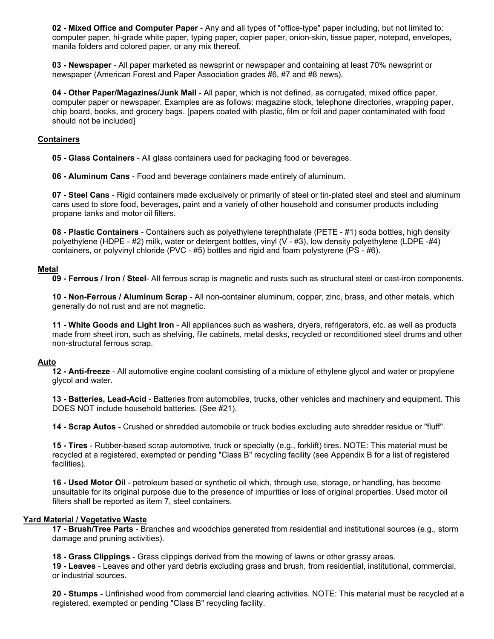**02 - Mixed Office and Computer Paper** - Any and all types of "office-type" paper including, but not limited to: computer paper, hi-grade white paper, typing paper, copier paper, onion-skin, tissue paper, notepad, envelopes, manila folders and colored paper, or any mix thereof.

**03 - Newspaper** - All paper marketed as newsprint or newspaper and containing at least 70% newsprint or newspaper (American Forest and Paper Association grades #6, #7 and #8 news).

**04 - Other Paper/Magazines/Junk Mail** - All paper, which is not defined, as corrugated, mixed office paper, computer paper or newspaper. Examples are as follows: magazine stock, telephone directories, wrapping paper, chip board, books, and grocery bags. [papers coated with plastic, film or foil and paper contaminated with food should not be included]

#### **Containers**

**05 - Glass Containers** - All glass containers used for packaging food or beverages.

**06 - Aluminum Cans** - Food and beverage containers made entirely of aluminum.

**07 - Steel Cans** - Rigid containers made exclusively or primarily of steel or tin-plated steel and steel and aluminum cans used to store food, beverages, paint and a variety of other household and consumer products including propane tanks and motor oil filters.

**08 - Plastic Containers** - Containers such as polyethylene terephthalate (PETE - #1) soda bottles, high density polyethylene (HDPE - #2) milk, water or detergent bottles, vinyl (V - #3), low density polyethylene (LDPE -#4) containers, or polyvinyl chloride (PVC - #5) bottles and rigid and foam polystyrene (PS - #6).

#### **Metal**

**09 - Ferrous / Iron / Steel**- All ferrous scrap is magnetic and rusts such as structural steel or cast-iron components.

**10 - Non-Ferrous / Aluminum Scrap** - All non-container aluminum, copper, zinc, brass, and other metals, which generally do not rust and are not magnetic.

**11 - White Goods and Light Iron** - All appliances such as washers, dryers, refrigerators, etc. as well as products made from sheet iron, such as shelving, file cabinets, metal desks, recycled or reconditioned steel drums and other non-structural ferrous scrap.

#### **Auto**

**12 - Anti-freeze** - All automotive engine coolant consisting of a mixture of ethylene glycol and water or propylene glycol and water.

**13 - Batteries, Lead-Acid** - Batteries from automobiles, trucks, other vehicles and machinery and equipment. This DOES NOT include household batteries. (See #21).

**14 - Scrap Autos** - Crushed or shredded automobile or truck bodies excluding auto shredder residue or "fluff".

**15 - Tires** - Rubber-based scrap automotive, truck or specialty (e.g., forklift) tires. NOTE: This material must be recycled at a registered, exempted or pending "Class B" recycling facility (see Appendix B for a list of registered facilities).

**16 - Used Motor Oil** - petroleum based or synthetic oil which, through use, storage, or handling, has become unsuitable for its original purpose due to the presence of impurities or loss of original properties. Used motor oil filters shall be reported as item 7, steel containers.

#### **Yard Material / Vegetative Waste**

**17 - Brush/Tree Parts** - Branches and woodchips generated from residential and institutional sources (e.g., storm damage and pruning activities).

**18 - Grass Clippings** - Grass clippings derived from the mowing of lawns or other grassy areas.

**19 - Leaves** - Leaves and other yard debris excluding grass and brush, from residential, institutional, commercial, or industrial sources.

**20 - Stumps** - Unfinished wood from commercial land clearing activities. NOTE: This material must be recycled at a registered, exempted or pending "Class B" recycling facility.